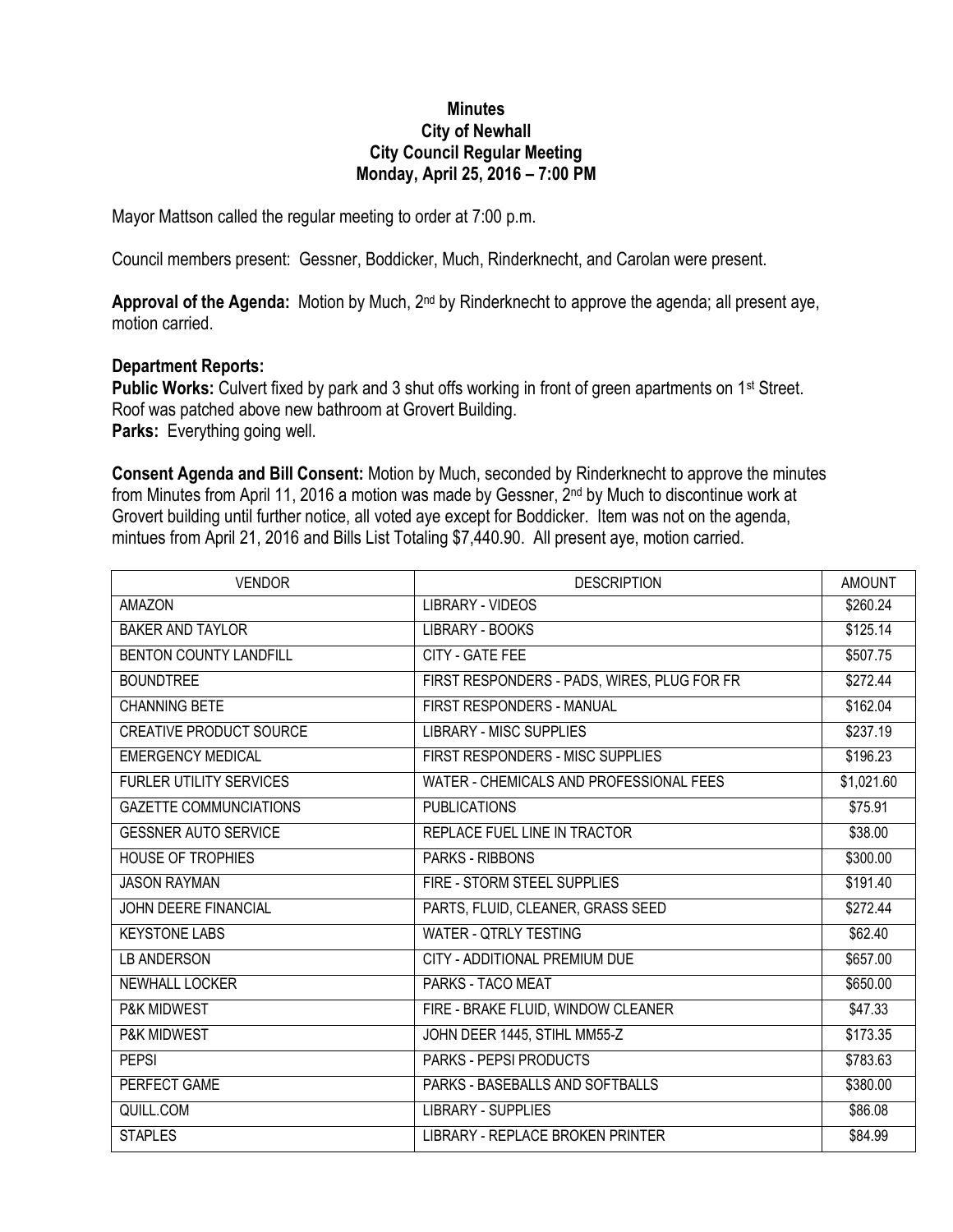## **Minutes City of Newhall City Council Regular Meeting Monday, April 25, 2016 – 7:00 PM**

Mayor Mattson called the regular meeting to order at 7:00 p.m.

Council members present: Gessner, Boddicker, Much, Rinderknecht, and Carolan were present.

**Approval of the Agenda:** Motion by Much, 2nd by Rinderknecht to approve the agenda; all present aye, motion carried.

## **Department Reports:**

**Public Works:** Culvert fixed by park and 3 shut offs working in front of green apartments on 1<sup>st</sup> Street. Roof was patched above new bathroom at Grovert Building. **Parks:** Everything going well.

**Consent Agenda and Bill Consent:** Motion by Much, seconded by Rinderknecht to approve the minutes from Minutes from April 11, 2016 a motion was made by Gessner, 2nd by Much to discontinue work at Grovert building until further notice, all voted aye except for Boddicker. Item was not on the agenda, mintues from April 21, 2016 and Bills List Totaling \$7,440.90. All present aye, motion carried.

| <b>VENDOR</b>                  | <b>DESCRIPTION</b>                          | <b>AMOUNT</b> |
|--------------------------------|---------------------------------------------|---------------|
| <b>AMAZON</b>                  | <b>LIBRARY - VIDEOS</b>                     | \$260.24      |
| <b>BAKER AND TAYLOR</b>        | <b>LIBRARY - BOOKS</b>                      | \$125.14      |
| BENTON COUNTY LANDFILL         | CITY - GATE FEE                             | \$507.75      |
| <b>BOUNDTREE</b>               | FIRST RESPONDERS - PADS, WIRES, PLUG FOR FR | \$272.44      |
| <b>CHANNING BETE</b>           | FIRST RESPONDERS - MANUAL                   | \$162.04      |
| CREATIVE PRODUCT SOURCE        | <b>LIBRARY - MISC SUPPLIES</b>              | \$237.19      |
| <b>EMERGENCY MEDICAL</b>       | <b>FIRST RESPONDERS - MISC SUPPLIES</b>     | \$196.23      |
| <b>FURLER UTILITY SERVICES</b> | WATER - CHEMICALS AND PROFESSIONAL FEES     | \$1,021.60    |
| <b>GAZETTE COMMUNCIATIONS</b>  | <b>PUBLICATIONS</b>                         | \$75.91       |
| <b>GESSNER AUTO SERVICE</b>    | REPLACE FUEL LINE IN TRACTOR                | \$38.00       |
| HOUSE OF TROPHIES              | PARKS - RIBBONS                             | \$300.00      |
| <b>JASON RAYMAN</b>            | FIRE - STORM STEEL SUPPLIES                 | \$191.40      |
| JOHN DEERE FINANCIAL           | PARTS, FLUID, CLEANER, GRASS SEED           | \$272.44      |
| <b>KEYSTONE LABS</b>           | <b>WATER - QTRLY TESTING</b>                | \$62.40       |
| <b>LB ANDERSON</b>             | CITY - ADDITIONAL PREMIUM DUE               | \$657.00      |
| NEWHALL LOCKER                 | PARKS - TACO MEAT                           | \$650.00      |
| P&K MIDWEST                    | FIRE - BRAKE FLUID, WINDOW CLEANER          | \$47.33       |
| <b>P&amp;K MIDWEST</b>         | JOHN DEER 1445, STIHL MM55-Z                | \$173.35      |
| <b>PEPSI</b>                   | <b>PARKS - PEPSI PRODUCTS</b>               | \$783.63      |
| PERFECT GAME                   | PARKS - BASEBALLS AND SOFTBALLS             | \$380.00      |
| QUILL.COM                      | <b>LIBRARY - SUPPLIES</b>                   | \$86.08       |
| <b>STAPLES</b>                 | <b>LIBRARY - REPLACE BROKEN PRINTER</b>     | \$84.99       |